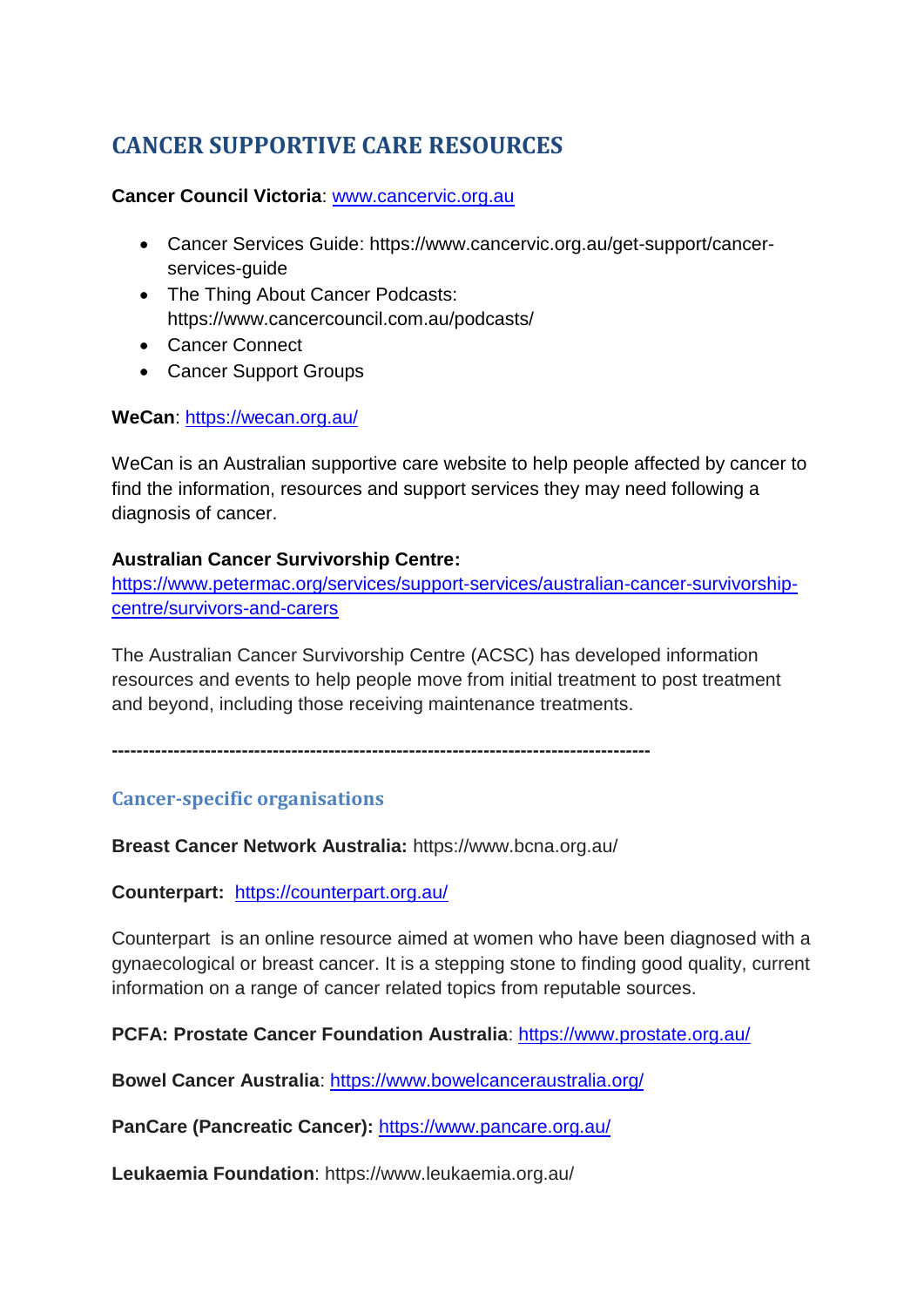# **CANCER SUPPORTIVE CARE RESOURCES**

#### **Cancer Council Victoria**: [www.cancervic.org.au](http://www.cancervic.org.au/)

- Cancer Services Guide: https://www.cancervic.org.au/get-support/cancerservices-guide
- The Thing About Cancer Podcasts: https://www.cancercouncil.com.au/podcasts/
- Cancer Connect
- Cancer Support Groups

#### **WeCan**:<https://wecan.org.au/>

WeCan is an Australian supportive care website to help people affected by cancer to find the information, resources and support services they may need following a diagnosis of cancer.

## **Australian Cancer Survivorship Centre:**

[https://www.petermac.org/services/support-services/australian-cancer-survivorship](https://www.petermac.org/services/support-services/australian-cancer-survivorship-centre/survivors-and-carers)[centre/survivors-and-carers](https://www.petermac.org/services/support-services/australian-cancer-survivorship-centre/survivors-and-carers)

The Australian Cancer Survivorship Centre (ACSC) has developed information resources and events to help people move from initial treatment to post treatment and beyond, including those receiving maintenance treatments.

**---------------------------------------------------------------------------------------**

# **Cancer-specific organisations**

**Breast Cancer Network Australia:** https://www.bcna.org.au/

**Counterpart:** <https://counterpart.org.au/>

Counterpart is an online resource aimed at women who have been diagnosed with a gynaecological or breast cancer. It is a stepping stone to finding good quality, current information on a range of cancer related topics from reputable sources.

PCFA: Prostate Cancer Foundation Australia:<https://www.prostate.org.au/>

**Bowel Cancer Australia**:<https://www.bowelcanceraustralia.org/>

**PanCare (Pancreatic Cancer):** <https://www.pancare.org.au/>

**Leukaemia Foundation**: https://www.leukaemia.org.au/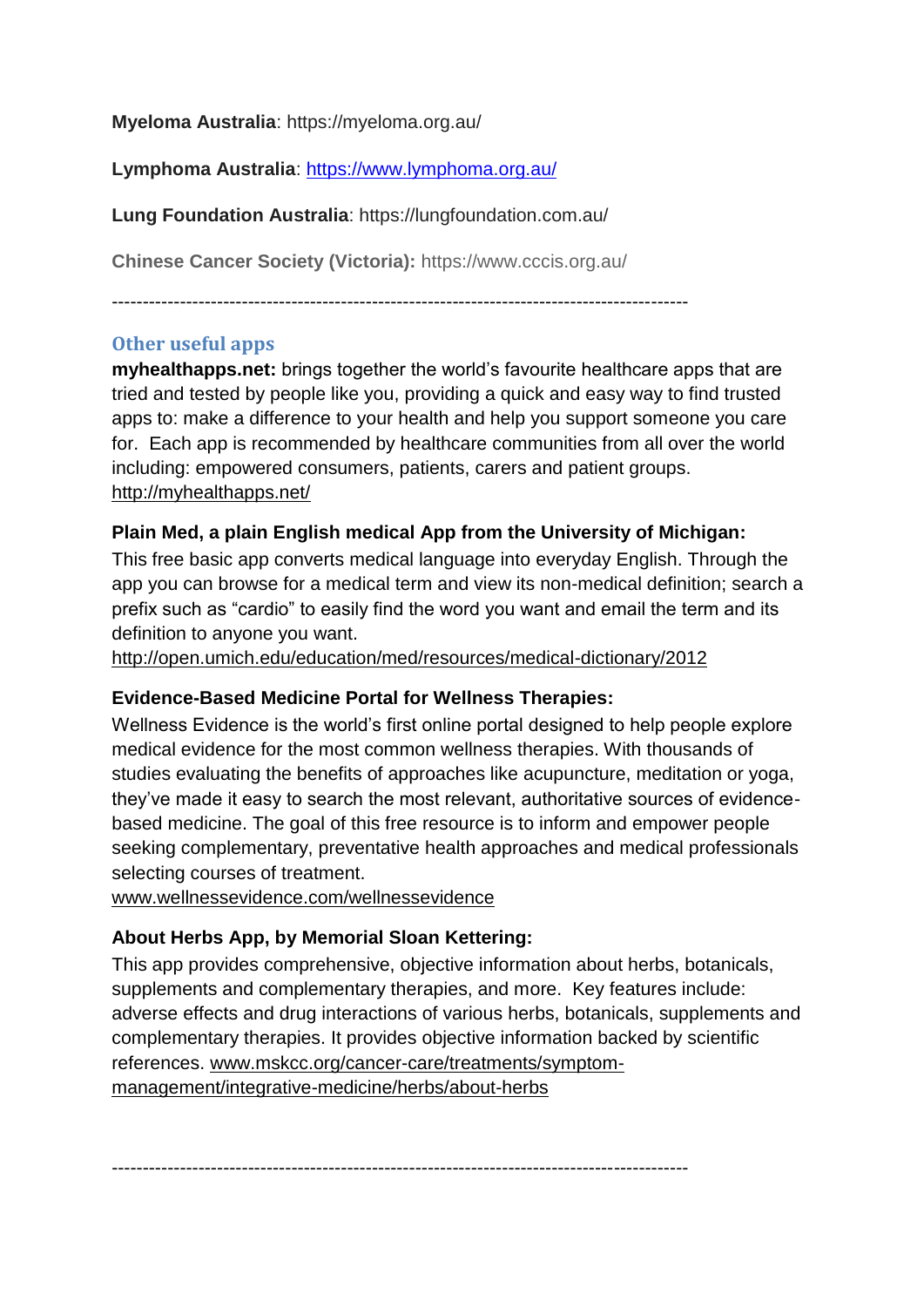**Myeloma Australia**: https://myeloma.org.au/

**Lymphoma Australia**:<https://www.lymphoma.org.au/>

**Lung Foundation Australia**: https://lungfoundation.com.au/

**Chinese Cancer Society (Victoria):** https://www.cccis.org.au/

---------------------------------------------------------------------------------------------

## **Other useful apps**

**myhealthapps.net:** brings together the world's favourite healthcare apps that are tried and tested by people like you, providing a quick and easy way to find trusted apps to: make a difference to your health and help you support someone you care for. Each app is recommended by healthcare communities from all over the world including: empowered consumers, patients, carers and patient groups. [http://myhealthapps.net/](http://breacan.us5.list-manage.com/track/click?u=20e216436b76b8cec84421957&id=1de36a3a71&e=4b6981b0e8)

#### **Plain Med, a plain English medical App from the University of Michigan:**

This free basic app converts medical language into everyday English. Through the app you can browse for a medical term and view its non-medical definition; search a prefix such as "cardio" to easily find the word you want and email the term and its definition to anyone you want.

[http://open.umich.edu/education/med/resources/medical-dictionary/2012](http://breacan.us5.list-manage1.com/track/click?u=20e216436b76b8cec84421957&id=230f8a627e&e=4b6981b0e8)

#### **Evidence-Based Medicine Portal for Wellness Therapies:**

Wellness Evidence is the world's first online portal designed to help people explore medical evidence for the most common wellness therapies. With thousands of studies evaluating the benefits of approaches like acupuncture, meditation or yoga, they've made it easy to search the most relevant, authoritative sources of evidencebased medicine. The goal of this free resource is to inform and empower people seeking complementary, preventative health approaches and medical professionals selecting courses of treatment.

[www.wellnessevidence.com/wellnessevidence](http://breacan.us5.list-manage.com/track/click?u=20e216436b76b8cec84421957&id=bdb960e0cf&e=4b6981b0e8)

# **About Herbs App, by Memorial Sloan Kettering:**

This app provides comprehensive, objective information about herbs, botanicals, supplements and complementary therapies, and more. Key features include: adverse effects and drug interactions of various herbs, botanicals, supplements and complementary therapies. It provides objective information backed by scientific references. [www.mskcc.org/cancer-care/treatments/symptom](http://breacan.us5.list-manage1.com/track/click?u=20e216436b76b8cec84421957&id=d286802006&e=4b6981b0e8)[management/integrative-medicine/herbs/about-herbs](http://breacan.us5.list-manage1.com/track/click?u=20e216436b76b8cec84421957&id=d286802006&e=4b6981b0e8)

---------------------------------------------------------------------------------------------